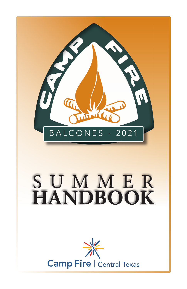

**Camp Fire | Central Texas**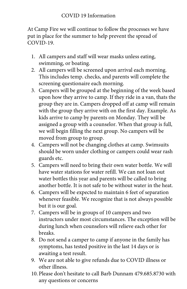At Camp Fire we will continue to follow the processes we have put in place for the summer to help prevent the spread of COVID-19.

- 1. All campers and staff will wear masks unless eating, swimming, or boating.
- 2. All campers will be screened upon arrival each morning. This includes temp. checks, and parents will complete the screening questionaire each morning.
- 3. Campers will be grouped at the beginning of the week based upon how they arrive to camp. If they ride in a van, thats the group they are in. Campers dropped off at camp will remain with the group they arrive with on the first day. Example. As kids arrive to camp by parents on Monday. They will be assigned a group with a counselor. When that group is full, we will begin filling the next group. No campers will be moved from group to group.
- 4. Campers will not be changing clothes at camp. Swimsuits should be worn under clothing or campers could wear rash guards etc.
- 5. Campers will need to bring their own water bottle. We will have water stations for water refill. We can not loan out water bottles this year and parents will be called to bring another bottle. It is not safe to be without water in the heat.
- 6. Campers will be expected to maintain 6 feet of separation whenever feasible. We recognize that is not always possible but it is our goal.
- 7. Campers will be in groups of 10 campers and two instructors under most circumstances. The exception will be during lunch when counselors will relieve each other for breaks.
- 8. Do not send a camper to camp if anyone in the family has symptoms, has tested positive in the last 14 days or is awaiting a test result.
- 9. We are not able to give refunds due to COVID illness or other illness.
- 10. Please don't hesitate to call Barb Dunnam 479.685.8730 with any questions or concerns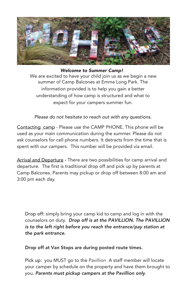

## *Welcome to Summer Camp!*

 We are excited to have your child join us as we begin a new summer of Camp Balcones at Emma Long Park. The information provided is to help you gain a better understanding of how camp is structured and what to expect for your campers summer fun.

*Please do not hesitate to reach out with any questions.* 

Contacting camp - Please use the CAMP PHONE. This phone will be used as your main communication during the summer. Please do not ask counselors for cell phone numbers. It detracts from the time that is spent with our campers. This number will be provided via email.

Arrival and Departure - There are two possibilities for camp arrival and departure. The first is traditional drop off and pick up by parents at Camp Balcones. Parents may pickup or drop off between 8:00 am and 3:00 pm each day.

Drop off: simply bring your camp kid to camp and log in with the counselors on duty. *Drop off* is at the PAVILLION. The PAVILLION is to the left right before you reach the entrance/pay station at the park entrance.

Drop off at Van Stops are during posted route times.

Pick up: you MUST go to the Pavillion A staff member will locate your camper by schedule on the property and have them brought to you. *Parents must pickup campers at the* Pavillion *only*.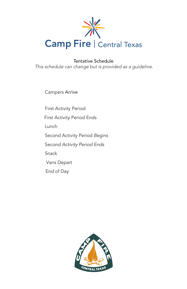

Tentative Schedule *This schedule can change but is provided as a guideline.* 

Campers Arrive

First Activity Period First Activity Period Ends Lunch Second Activity Period Begins Second Activity Period Ends Snack Vans Depart End of Day

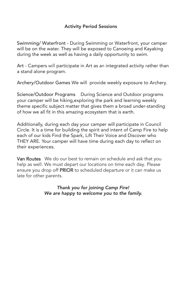## Activity Period Sessions

Swimming/ Waterfront - During Swimming or Waterfront, your camper will be on the water. They will be exposed to Canoeing and Kayaking during the week as well as having a daily opportunity to swim.

Art - Campers will participate in Art as an integrated activity rather than a stand alone program.

Archery/Outdoor Games We will provide weekly exposure to Archery.

Science/Outdoor Programs During Science and Outdoor programs your camper will be hiking,exploring the park and learning weekly theme specific subject matter that gives them a broad under-standing of how we all fit in this amazing ecosystem that is earth.

Additionally, during each day your camper will participate in Council Circle. It is a time for building the spirit and intent of Camp Fire to help each of our kids Find the Spark, Lift Their Voice and Discover who THEY ARE. Your camper will have time during each day to reflect on their experiences.

Van Routes We do our best to remain on schedule and ask that you help as well. We must depart our locations on time each day. Please ensure you drop off PRIOR to scheduled departure or it can make us late for other parents.

> *Thank you for joining Camp Fire! We are happy to welcome you to the family.*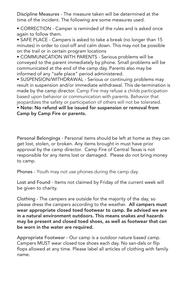Discipline Measures - The measure taken will be determined at the time of the incident. The following are some measures used.

• CORRECTION - Camper is reminded of the rules and is asked once again to follow them.

• SAFE PLACE - Campers is asked to take a break (no longer than 15 minutes) in order to cool-off and calm down. This may not be possible on the trail or in certain program locations

• COMMUNICATION WITH PARENTS - Serious problems will be conveyed to the parent immediately by phone. Small problems will be communicated at the end of the camp day. Parents also may be informed of any "safe place" period administered.

• SUSPENSION/WITHDRAWAL - Serious or continuing problems may result in suspension and/or immediate withdrawal. This de-termination is made by the camp director. Camp Fire may refuse a childs participation based upon behavior or communication with parents. Behavior that jeopardizes the safety or participation of others will not be tolerated.

## • Note: No refund will be issued for suspension or removal from Camp by Camp Fire or parents.

Personal Belongings - Personal items should be left at home as they can get lost, stolen, or broken. Any items brought in must have prior approval by the camp director. Camp Fire of Central Texas is not responsible for any items lost or damaged. Please do not bring money to camp.

Phones - Youth may not use phones during the camp day.

Lost and Found - Items not claimed by Friday of the current week will be given to charity.

Clothing - The campers are outside for the majority of the day, so please dress the campers according to the weather. All campers must wear appropriate closed toed footwear to camp. Be advised we are in a natural environment outdoors. This means snakes and hazards may be present and closed toed shoes, as well as footwear that can be worn in the water are required.

Appropriate Footwear - Our camp is a outdoor nature based camp. Campers MUST wear closed toe shoes each day. No san-dals or flip flops allowed at any time. Please label all articles of clothing with family name.